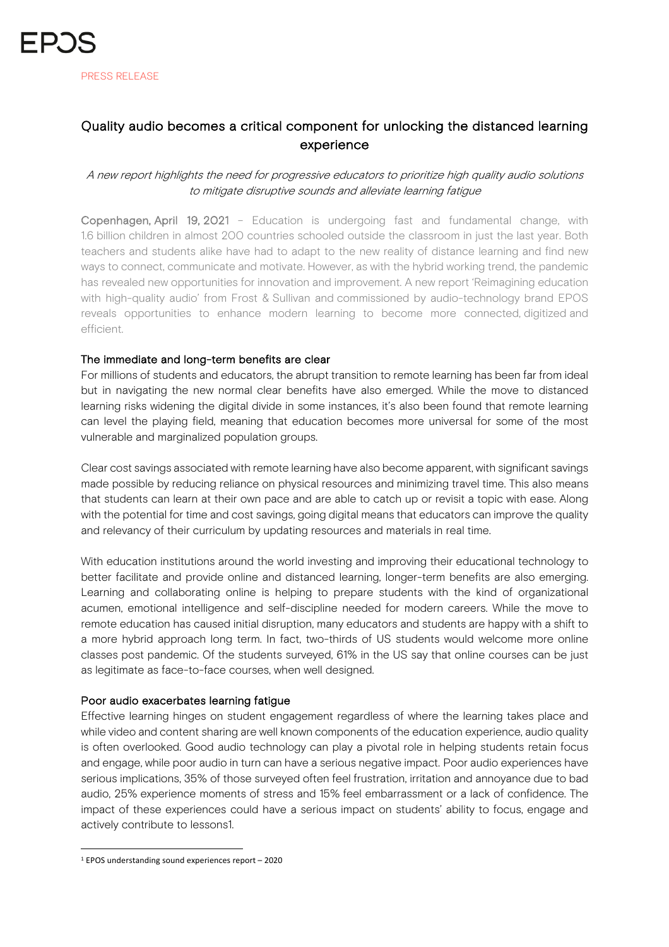## Quality audio becomes a critical component for unlocking the distanced learning experience

### A new report highlights the need for progressive educators to prioritize high quality audio solutions to mitigate disruptive sounds and alleviate learning fatigue

Copenhagen, April 19, 2021 – Education is undergoing fast and fundamental change, with 1.6 billion children in almost 200 countries schooled outside the classroom in just the last year. Both teachers and students alike have had to adapt to the new reality of distance learning and find new ways to connect, communicate and motivate. However, as with the hybrid working trend, the pandemic has revealed new opportunities for innovation and improvement. A new report 'Reimagining education with high-quality audio' from Frost & Sullivan and commissioned by audio-technology brand EPOS reveals opportunities to enhance modern learning to become more connected, digitized and efficient.

#### The immediate and long-term benefits are clear

For millions of students and educators, the abrupt transition to remote learning has been far from ideal but in navigating the new normal clear benefits have also emerged. While the move to distanced learning risks widening the digital divide in some instances, it's also been found that remote learning can level the playing field, meaning that education becomes more universal for some of the most vulnerable and marginalized population groups.

Clear cost savings associated with remote learning have also become apparent, with significant savings made possible by reducing reliance on physical resources and minimizing travel time. This also means that students can learn at their own pace and are able to catch up or revisit a topic with ease. Along with the potential for time and cost savings, going digital means that educators can improve the quality and relevancy of their curriculum by updating resources and materials in real time.

With education institutions around the world investing and improving their educational technology to better facilitate and provide online and distanced learning, longer-term benefits are also emerging. Learning and collaborating online is helping to prepare students with the kind of organizational acumen, emotional intelligence and self-discipline needed for modern careers. While the move to remote education has caused initial disruption, many educators and students are happy with a shift to a more hybrid approach long term. In fact, two-thirds of US students would welcome more online classes post pandemic. Of the students surveyed, 61% in the US say that online courses can be just as legitimate as face-to-face courses, when well designed.

#### Poor audio exacerbates learning fatigue

Effective learning hinges on student engagement regardless of where the learning takes place and while video and content sharing are well known components of the education experience, audio quality is often overlooked. Good audio technology can play a pivotal role in helping students retain focus and engage, while poor audio in turn can have a serious negative impact. Poor audio experiences have serious implications, 35% of those surveyed often feel frustration, irritation and annoyance due to bad audio, 25% experience moments of stress and 15% feel embarrassment or a lack of confidence. The impact of these experiences could have a serious impact on students' ability to focus, engage and actively contribute to lessons1.

<sup>1</sup> EPOS understanding sound experiences report – 2020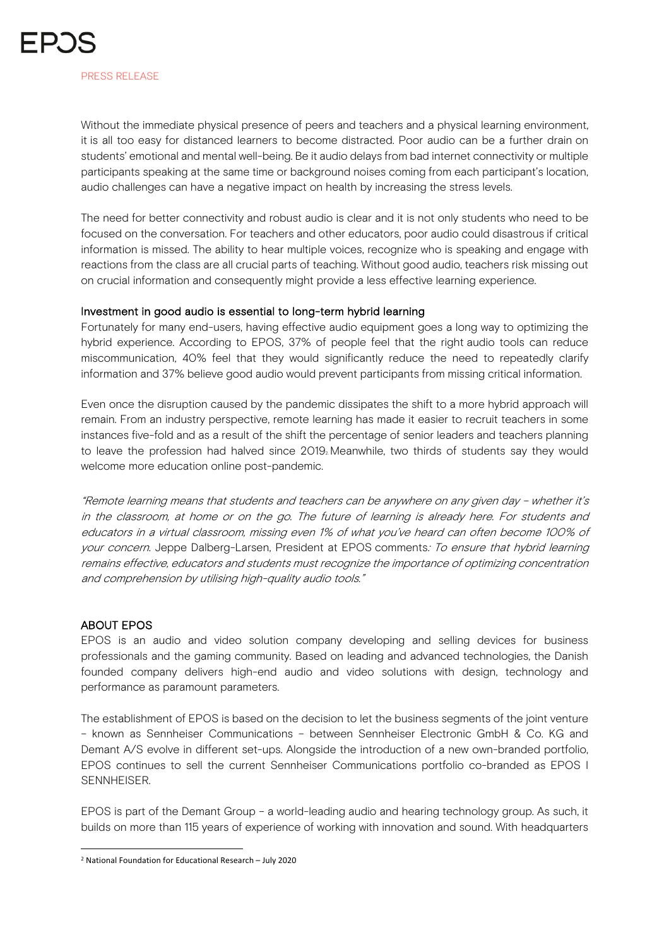Without the immediate physical presence of peers and teachers and a physical learning environment, it is all too easy for distanced learners to become distracted. Poor audio can be a further drain on students' emotional and mental well-being. Be it audio delays from bad internet connectivity or multiple participants speaking at the same time or background noises coming from each participant's location, audio challenges can have a negative impact on health by increasing the stress levels.

The need for better connectivity and robust audio is clear and it is not only students who need to be focused on the conversation. For teachers and other educators, poor audio could disastrous if critical information is missed. The ability to hear multiple voices, recognize who is speaking and engage with reactions from the class are all crucial parts of teaching. Without good audio, teachers risk missing out on crucial information and consequently might provide a less effective learning experience.

#### Investment in good audio is essential to long-term hybrid learning

Fortunately for many end-users, having effective audio equipment goes a long way to optimizing the hybrid experience. According to EPOS, 37% of people feel that the right audio tools can reduce miscommunication, 40% feel that they would significantly reduce the need to repeatedly clarify information and 37% believe good audio would prevent participants from missing critical information.

Even once the disruption caused by the pandemic dissipates the shift to a more hybrid approach will remain. From an industry perspective, remote learning has made it easier to recruit teachers in some instances five-fold and as a result of the shift the percentage of senior leaders and teachers planning to leave the profession had halved since 2019<sub>2</sub> Meanwhile, two thirds of students say they would welcome more education online post-pandemic.

"Remote learning means that students and teachers can be anywhere on any given day – whether it's in the classroom, at home or on the go. The future of learning is already here. For students and educators in a virtual classroom, missing even 1% of what you've heard can often become 100% of your concern. Jeppe Dalberg-Larsen, President at EPOS comments: To ensure that hybrid learning remains effective, educators and students must recognize the importance of optimizing concentration and comprehension by utilising high-quality audio tools."

#### ABOUT EPOS

EPOS is an audio and video solution company developing and selling devices for business professionals and the gaming community. Based on leading and advanced technologies, the Danish founded company delivers high-end audio and video solutions with design, technology and performance as paramount parameters.

The establishment of EPOS is based on the decision to let the business segments of the joint venture – known as Sennheiser Communications – between Sennheiser Electronic GmbH & Co. KG and Demant A/S evolve in different set-ups. Alongside the introduction of a new own-branded portfolio, EPOS continues to sell the current Sennheiser Communications portfolio co-branded as EPOS I SENNHEISER.

EPOS is part of the Demant Group – a world-leading audio and hearing technology group. As such, it builds on more than 115 years of experience of working with innovation and sound. With headquarters

<sup>2</sup> National Foundation for Educational Research – July 2020